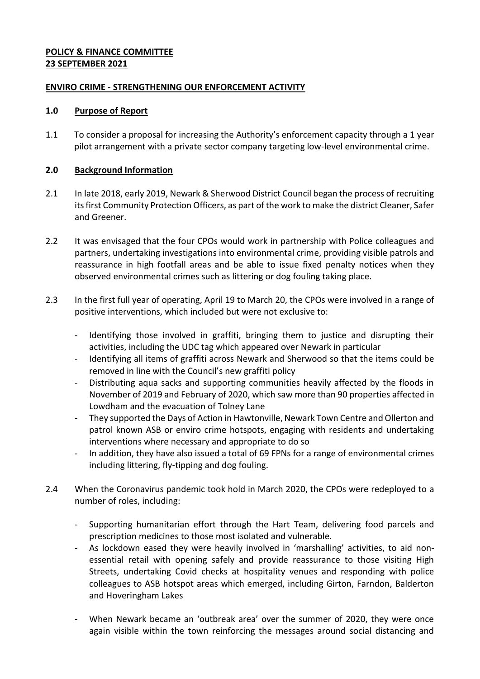## **POLICY & FINANCE COMMITTEE 23 SEPTEMBER 2021**

## **ENVIRO CRIME - STRENGTHENING OUR ENFORCEMENT ACTIVITY**

#### **1.0 Purpose of Report**

1.1 To consider a proposal for increasing the Authority's enforcement capacity through a 1 year pilot arrangement with a private sector company targeting low-level environmental crime.

## **2.0 Background Information**

- 2.1 In late 2018, early 2019, Newark & Sherwood District Council began the process of recruiting its first Community Protection Officers, as part of the work to make the district Cleaner, Safer and Greener.
- 2.2 It was envisaged that the four CPOs would work in partnership with Police colleagues and partners, undertaking investigations into environmental crime, providing visible patrols and reassurance in high footfall areas and be able to issue fixed penalty notices when they observed environmental crimes such as littering or dog fouling taking place.
- 2.3 In the first full year of operating, April 19 to March 20, the CPOs were involved in a range of positive interventions, which included but were not exclusive to:
	- Identifying those involved in graffiti, bringing them to justice and disrupting their activities, including the UDC tag which appeared over Newark in particular
	- Identifying all items of graffiti across Newark and Sherwood so that the items could be removed in line with the Council's new graffiti policy
	- Distributing aqua sacks and supporting communities heavily affected by the floods in November of 2019 and February of 2020, which saw more than 90 properties affected in Lowdham and the evacuation of Tolney Lane
	- They supported the Days of Action in Hawtonville, Newark Town Centre and Ollerton and patrol known ASB or enviro crime hotspots, engaging with residents and undertaking interventions where necessary and appropriate to do so
	- In addition, they have also issued a total of 69 FPNs for a range of environmental crimes including littering, fly-tipping and dog fouling.
- 2.4 When the Coronavirus pandemic took hold in March 2020, the CPOs were redeployed to a number of roles, including:
	- Supporting humanitarian effort through the Hart Team, delivering food parcels and prescription medicines to those most isolated and vulnerable.
	- As lockdown eased they were heavily involved in 'marshalling' activities, to aid nonessential retail with opening safely and provide reassurance to those visiting High Streets, undertaking Covid checks at hospitality venues and responding with police colleagues to ASB hotspot areas which emerged, including Girton, Farndon, Balderton and Hoveringham Lakes
	- When Newark became an 'outbreak area' over the summer of 2020, they were once again visible within the town reinforcing the messages around social distancing and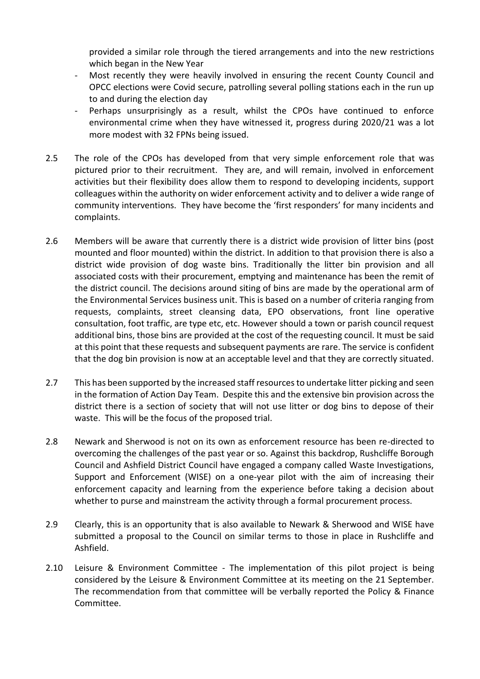provided a similar role through the tiered arrangements and into the new restrictions which began in the New Year

- Most recently they were heavily involved in ensuring the recent County Council and OPCC elections were Covid secure, patrolling several polling stations each in the run up to and during the election day
- Perhaps unsurprisingly as a result, whilst the CPOs have continued to enforce environmental crime when they have witnessed it, progress during 2020/21 was a lot more modest with 32 FPNs being issued.
- 2.5 The role of the CPOs has developed from that very simple enforcement role that was pictured prior to their recruitment. They are, and will remain, involved in enforcement activities but their flexibility does allow them to respond to developing incidents, support colleagues within the authority on wider enforcement activity and to deliver a wide range of community interventions. They have become the 'first responders' for many incidents and complaints.
- 2.6 Members will be aware that currently there is a district wide provision of litter bins (post mounted and floor mounted) within the district. In addition to that provision there is also a district wide provision of dog waste bins. Traditionally the litter bin provision and all associated costs with their procurement, emptying and maintenance has been the remit of the district council. The decisions around siting of bins are made by the operational arm of the Environmental Services business unit. This is based on a number of criteria ranging from requests, complaints, street cleansing data, EPO observations, front line operative consultation, foot traffic, are type etc, etc. However should a town or parish council request additional bins, those bins are provided at the cost of the requesting council. It must be said at this point that these requests and subsequent payments are rare. The service is confident that the dog bin provision is now at an acceptable level and that they are correctly situated.
- 2.7 This has been supported by the increased staff resources to undertake litter picking and seen in the formation of Action Day Team. Despite this and the extensive bin provision across the district there is a section of society that will not use litter or dog bins to depose of their waste. This will be the focus of the proposed trial.
- 2.8 Newark and Sherwood is not on its own as enforcement resource has been re-directed to overcoming the challenges of the past year or so. Against this backdrop, Rushcliffe Borough Council and Ashfield District Council have engaged a company called Waste Investigations, Support and Enforcement (WISE) on a one-year pilot with the aim of increasing their enforcement capacity and learning from the experience before taking a decision about whether to purse and mainstream the activity through a formal procurement process.
- 2.9 Clearly, this is an opportunity that is also available to Newark & Sherwood and WISE have submitted a proposal to the Council on similar terms to those in place in Rushcliffe and Ashfield.
- 2.10 Leisure & Environment Committee The implementation of this pilot project is being considered by the Leisure & Environment Committee at its meeting on the 21 September. The recommendation from that committee will be verbally reported the Policy & Finance Committee.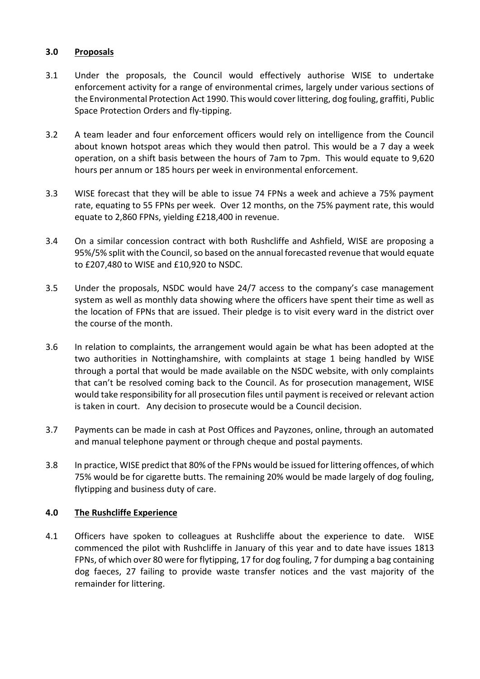### **3.0 Proposals**

- 3.1 Under the proposals, the Council would effectively authorise WISE to undertake enforcement activity for a range of environmental crimes, largely under various sections of the Environmental Protection Act 1990. This would cover littering, dog fouling, graffiti, Public Space Protection Orders and fly-tipping.
- 3.2 A team leader and four enforcement officers would rely on intelligence from the Council about known hotspot areas which they would then patrol. This would be a 7 day a week operation, on a shift basis between the hours of 7am to 7pm. This would equate to 9,620 hours per annum or 185 hours per week in environmental enforcement.
- 3.3 WISE forecast that they will be able to issue 74 FPNs a week and achieve a 75% payment rate, equating to 55 FPNs per week. Over 12 months, on the 75% payment rate, this would equate to 2,860 FPNs, yielding £218,400 in revenue.
- 3.4 On a similar concession contract with both Rushcliffe and Ashfield, WISE are proposing a 95%/5% split with the Council, so based on the annual forecasted revenue that would equate to £207,480 to WISE and £10,920 to NSDC.
- 3.5 Under the proposals, NSDC would have 24/7 access to the company's case management system as well as monthly data showing where the officers have spent their time as well as the location of FPNs that are issued. Their pledge is to visit every ward in the district over the course of the month.
- 3.6 In relation to complaints, the arrangement would again be what has been adopted at the two authorities in Nottinghamshire, with complaints at stage 1 being handled by WISE through a portal that would be made available on the NSDC website, with only complaints that can't be resolved coming back to the Council. As for prosecution management, WISE would take responsibility for all prosecution files until payment is received or relevant action is taken in court. Any decision to prosecute would be a Council decision.
- 3.7 Payments can be made in cash at Post Offices and Payzones, online, through an automated and manual telephone payment or through cheque and postal payments.
- 3.8 In practice, WISE predict that 80% of the FPNs would be issued for littering offences, of which 75% would be for cigarette butts. The remaining 20% would be made largely of dog fouling, flytipping and business duty of care.

## **4.0 The Rushcliffe Experience**

4.1 Officers have spoken to colleagues at Rushcliffe about the experience to date. WISE commenced the pilot with Rushcliffe in January of this year and to date have issues 1813 FPNs, of which over 80 were for flytipping, 17 for dog fouling, 7 for dumping a bag containing dog faeces, 27 failing to provide waste transfer notices and the vast majority of the remainder for littering.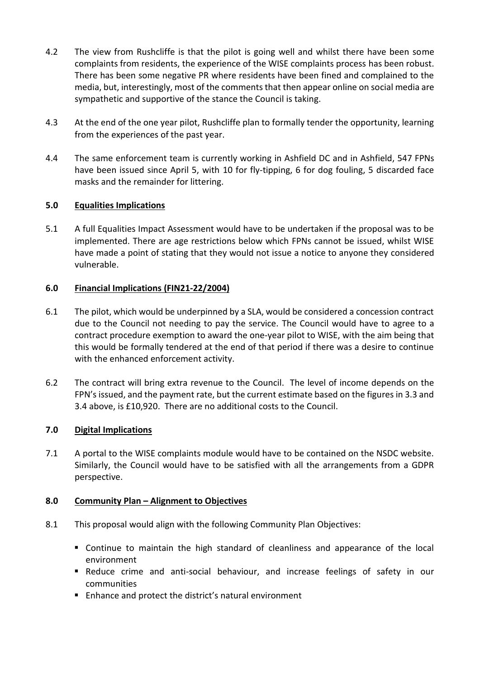- 4.2 The view from Rushcliffe is that the pilot is going well and whilst there have been some complaints from residents, the experience of the WISE complaints process has been robust. There has been some negative PR where residents have been fined and complained to the media, but, interestingly, most of the comments that then appear online on social media are sympathetic and supportive of the stance the Council is taking.
- 4.3 At the end of the one year pilot, Rushcliffe plan to formally tender the opportunity, learning from the experiences of the past year.
- 4.4 The same enforcement team is currently working in Ashfield DC and in Ashfield, 547 FPNs have been issued since April 5, with 10 for fly-tipping, 6 for dog fouling, 5 discarded face masks and the remainder for littering.

## **5.0 Equalities Implications**

5.1 A full Equalities Impact Assessment would have to be undertaken if the proposal was to be implemented. There are age restrictions below which FPNs cannot be issued, whilst WISE have made a point of stating that they would not issue a notice to anyone they considered vulnerable.

# **6.0 Financial Implications (FIN21-22/2004)**

- 6.1 The pilot, which would be underpinned by a SLA, would be considered a concession contract due to the Council not needing to pay the service. The Council would have to agree to a contract procedure exemption to award the one-year pilot to WISE, with the aim being that this would be formally tendered at the end of that period if there was a desire to continue with the enhanced enforcement activity.
- 6.2 The contract will bring extra revenue to the Council. The level of income depends on the FPN's issued, and the payment rate, but the current estimate based on the figures in 3.3 and 3.4 above, is £10,920. There are no additional costs to the Council.

## **7.0 Digital Implications**

7.1 A portal to the WISE complaints module would have to be contained on the NSDC website. Similarly, the Council would have to be satisfied with all the arrangements from a GDPR perspective.

## **8.0 Community Plan – Alignment to Objectives**

- 8.1 This proposal would align with the following Community Plan Objectives:
	- Continue to maintain the high standard of cleanliness and appearance of the local environment
	- Reduce crime and anti-social behaviour, and increase feelings of safety in our communities
	- Enhance and protect the district's natural environment